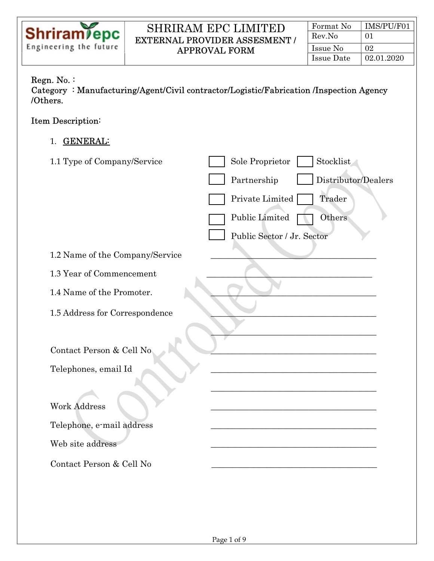

# Ξ Regn. No. :

Category : Manufacturing/Agent/Civil contractor/Logistic/Fabrication /Inspection Agency /Others.

# Item Description:

1. GENERAL:

| 1.1 Type of Company/Service     | Stocklist<br>Sole Proprietor       |
|---------------------------------|------------------------------------|
|                                 | Distributor/Dealers<br>Partnership |
|                                 | Private Limited<br>Trader          |
|                                 | Public Limited<br>Others           |
|                                 | Public Sector / Jr. Sector         |
| 1.2 Name of the Company/Service |                                    |
| 1.3 Year of Commencement        |                                    |
| 1.4 Name of the Promoter.       |                                    |
| 1.5 Address for Correspondence  |                                    |
|                                 |                                    |
| Contact Person & Cell No        |                                    |
| Telephones, email Id            |                                    |
|                                 |                                    |
| <b>Work Address</b>             |                                    |
| Telephone, e-mail address       |                                    |
| Web site address                |                                    |
| Contact Person & Cell No        |                                    |
|                                 |                                    |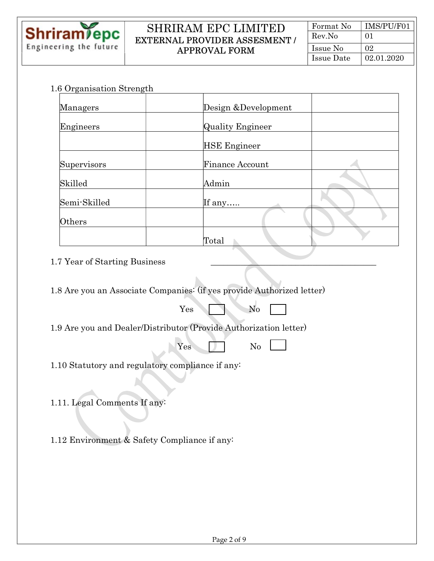

Ξ

#### SHRIRAM EPC LIMITED EXTERNAL PROVIDER ASSESMENT / APPROVAL FORM

| Format No  | IMS/PU/F01 |
|------------|------------|
| Rev.No     | $^{01}$    |
| Issue No   | 02         |
| Issue Date | 02.01.2020 |

#### 1.6 Organisation Strength

| ັ<br>Managers | Design & Development    |  |
|---------------|-------------------------|--|
| Engineers     | <b>Quality Engineer</b> |  |
|               | <b>HSE Engineer</b>     |  |
| Supervisors   | Finance Account         |  |
| Skilled       | Admin                   |  |
| Semi-Skilled  | If any                  |  |
| Others        |                         |  |
|               | Total                   |  |

# 1.7 Year of Starting Business

1.8 Are you an Associate Companies: (if yes provide Authorized letter)

| N <sub>0</sub><br>$\mathcal{A}$ . $\mathcal{A}$<br>$Yes^{\dagger}$ |
|--------------------------------------------------------------------|
|--------------------------------------------------------------------|

1.9 Are you and Dealer/Distributor (Provide Authorization letter)

| $ -$<br>~~<br>. | $\sim$ $\sim$<br>AL. |  |
|-----------------|----------------------|--|
| $-$<br>_        | $\sim$               |  |

1.10 Statutory and regulatory compliance if any:

1.11. Legal Comments If any:

1.12 Environment & Safety Compliance if any: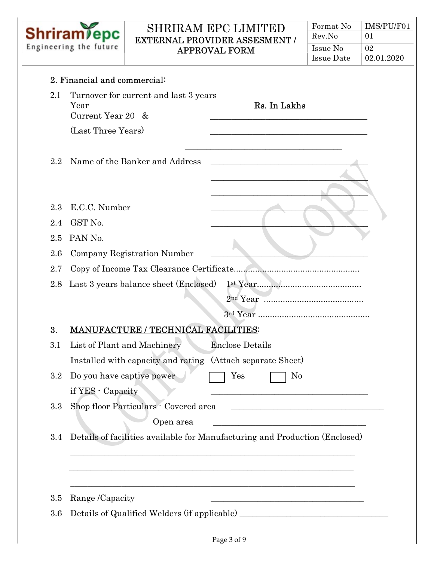

| Format No  | IMS/PU/F01 |
|------------|------------|
| Rev.No     | 01         |
| Issue No   | 02         |
| Issue Date | 02.01.2020 |

| 2.1        | Turnover for current and last 3 years<br>Rs. In Lakhs<br>Year<br>Current Year 20 &                                                                                                                                                                                                                   |
|------------|------------------------------------------------------------------------------------------------------------------------------------------------------------------------------------------------------------------------------------------------------------------------------------------------------|
|            | (Last Three Years)                                                                                                                                                                                                                                                                                   |
| $2.2\,$    | Name of the Banker and Address                                                                                                                                                                                                                                                                       |
| 2.3<br>2.4 | E.C.C. Number<br>GST No.                                                                                                                                                                                                                                                                             |
| 2.5        | PAN No.                                                                                                                                                                                                                                                                                              |
| 2.6        | Company Registration Number                                                                                                                                                                                                                                                                          |
| 2.7        | Copy of Income Tax Clearance Certificate                                                                                                                                                                                                                                                             |
| 2.8        | Last 3 years balance sheet (Enclosed)                                                                                                                                                                                                                                                                |
|            |                                                                                                                                                                                                                                                                                                      |
|            |                                                                                                                                                                                                                                                                                                      |
| 3.         | <b>MANUFACTURE / TECHNICAL FACILITIES:</b>                                                                                                                                                                                                                                                           |
| 3.1        | List of Plant and Machinery<br><b>Enclose Details</b>                                                                                                                                                                                                                                                |
|            | Installed with capacity and rating<br>(Attach separate Sheet)                                                                                                                                                                                                                                        |
| 3.2        | Do you have captive power<br>Yes<br>N <sub>0</sub><br>if YES - Capacity<br><u> 1989 - Johann Barn, mars ann an t-Amhair an t-Amhair an t-Amhair an t-Amhair an t-Amhair an t-Amhair an t-Amh</u>                                                                                                     |
| 3.3        | Shop floor Particulars - Covered area<br><u> 1989 - Johann Harry Harry Harry Harry Harry Harry Harry Harry Harry Harry Harry Harry Harry Harry Harry Harry</u><br>Open area<br><u> 1989 - Johann John Stone, mars and de film and de film and de film and de film and de film and de film and de</u> |
| 3.4        | Details of facilities available for Manufacturing and Production (Enclosed)                                                                                                                                                                                                                          |
|            |                                                                                                                                                                                                                                                                                                      |
| 3.5        | Range /Capacity<br><u> 1989 - Johann John Stein, markin film yn y brenin y brenin y brenin y brenin y brenin y brenin y brenin y br</u>                                                                                                                                                              |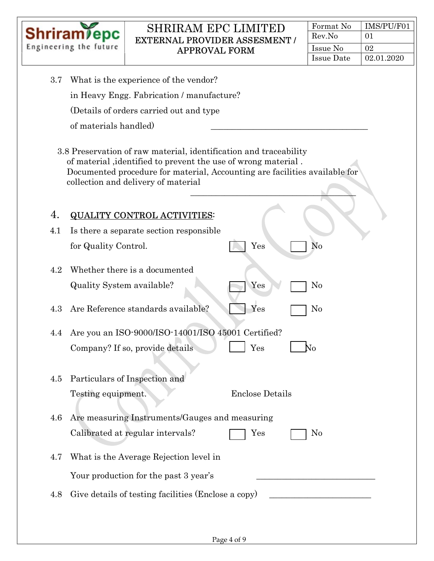

| Format No  | IMS/PU/F01 |
|------------|------------|
| Rev.No     | 01         |
| Issue No   | 02         |
| Issue Date | 02.01.2020 |

| 3.7 | What is the experience of the vendor?                                                                                                                                                                                                                   |
|-----|---------------------------------------------------------------------------------------------------------------------------------------------------------------------------------------------------------------------------------------------------------|
|     | in Heavy Engg. Fabrication / manufacture?                                                                                                                                                                                                               |
|     | (Details of orders carried out and type                                                                                                                                                                                                                 |
|     | of materials handled)                                                                                                                                                                                                                                   |
|     | 3.8 Preservation of raw material, identification and traceability<br>of material, identified to prevent the use of wrong material.<br>Documented procedure for material, Accounting are facilities available for<br>collection and delivery of material |
| 4.  | <b>QUALITY CONTROL ACTIVITIES:</b>                                                                                                                                                                                                                      |
| 4.1 | Is there a separate section responsible                                                                                                                                                                                                                 |
|     | Yes<br>No<br>for Quality Control.                                                                                                                                                                                                                       |
| 4.2 | Whether there is a documented                                                                                                                                                                                                                           |
|     | Yes<br>Quality System available?<br>No                                                                                                                                                                                                                  |
| 4.3 | Yes<br>Are Reference standards available?<br>No                                                                                                                                                                                                         |
| 4.4 | Are you an ISO-9000/ISO-14001/ISO 45001 Certified?                                                                                                                                                                                                      |
|     | Yes<br>Company? If so, provide details<br>Ńо                                                                                                                                                                                                            |
|     |                                                                                                                                                                                                                                                         |
|     | 4.5 Particulars of Inspection and                                                                                                                                                                                                                       |
|     | Testing equipment.<br><b>Enclose Details</b>                                                                                                                                                                                                            |
| 4.6 | Are measuring Instruments/Gauges and measuring                                                                                                                                                                                                          |
|     | Calibrated at regular intervals?<br>$\rm Yes$<br>N <sub>0</sub>                                                                                                                                                                                         |
|     |                                                                                                                                                                                                                                                         |
| 4.7 | What is the Average Rejection level in                                                                                                                                                                                                                  |
|     | Your production for the past 3 year's                                                                                                                                                                                                                   |
| 4.8 | Give details of testing facilities (Enclose a copy)<br><u> 1989 - Johann Barbara, martxa al</u>                                                                                                                                                         |
|     |                                                                                                                                                                                                                                                         |
|     |                                                                                                                                                                                                                                                         |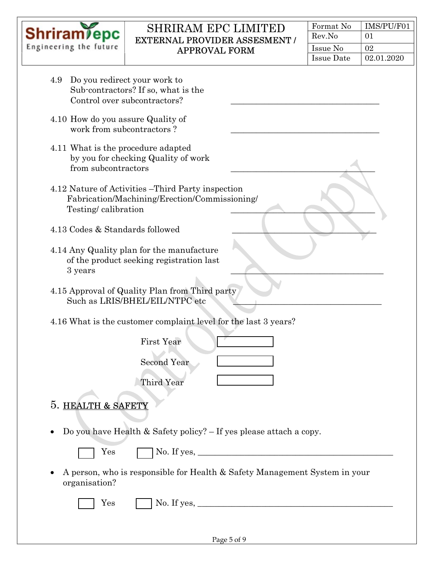

| Format No  | IMS/PU/F01 |
|------------|------------|
| Rev.No     | 01         |
| Issue No   | 02         |
| Issue Date | 02.01.2020 |

| Do you redirect your work to<br>4.9<br>Sub-contractors? If so, what is the<br>Control over subcontractors?                 |
|----------------------------------------------------------------------------------------------------------------------------|
| 4.10 How do you assure Quality of<br>work from subcontractors?                                                             |
| 4.11 What is the procedure adapted<br>by you for checking Quality of work<br>from subcontractors                           |
| 4.12 Nature of Activities – Third Party inspection<br>Fabrication/Machining/Erection/Commissioning/<br>Testing/calibration |
| 4.13 Codes & Standards followed                                                                                            |
| 4.14 Any Quality plan for the manufacture<br>of the product seeking registration last<br>3 years                           |
| 4.15 Approval of Quality Plan from Third party<br>Such as LRIS/BHEL/EIL/NTPC etc                                           |
| 4.16 What is the customer complaint level for the last 3 years?                                                            |
| <b>First Year</b>                                                                                                          |
| <b>Second Year</b>                                                                                                         |
| Third Year                                                                                                                 |
| 5. HEALTH & SAFETY<br>Do you have Health & Safety policy? $-If$ yes please attach a copy.                                  |
| $\rm Yes$                                                                                                                  |
|                                                                                                                            |
| A person, who is responsible for Health & Safety Management System in your<br>organisation?                                |
| $\rm Yes$<br>$\gamma$ No. If yes, $\gamma$                                                                                 |
|                                                                                                                            |
| Page 5 of 9                                                                                                                |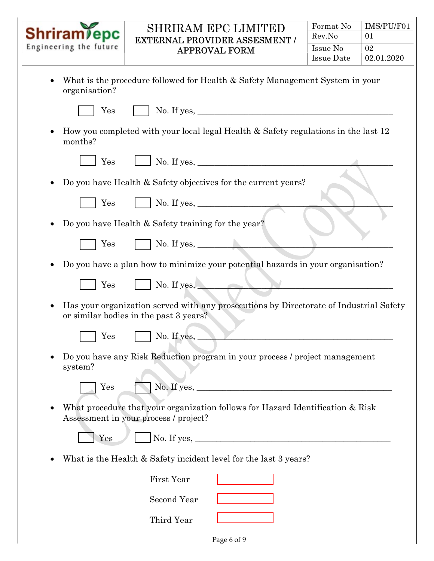|                                                                                                                                                                                                                                                                                                  | <b>SHRIRAM EPC LIMITED</b><br><b>Shriram</b> epc<br><b>EXTERNAL PROVIDER ASSESMENT /</b><br>Engineering the future<br><b>APPROVAL FORM</b> | Format No         | IMS/PU/F01 |  |
|--------------------------------------------------------------------------------------------------------------------------------------------------------------------------------------------------------------------------------------------------------------------------------------------------|--------------------------------------------------------------------------------------------------------------------------------------------|-------------------|------------|--|
|                                                                                                                                                                                                                                                                                                  |                                                                                                                                            | Rev.No            | 01         |  |
|                                                                                                                                                                                                                                                                                                  |                                                                                                                                            | Issue No          | 02         |  |
|                                                                                                                                                                                                                                                                                                  |                                                                                                                                            | <b>Issue Date</b> | 02.01.2020 |  |
| $\bullet$<br>organisation?<br>Yes                                                                                                                                                                                                                                                                | What is the procedure followed for Health & Safety Management System in your                                                               |                   |            |  |
| ٠<br>months?                                                                                                                                                                                                                                                                                     | How you completed with your local legal Health & Safety regulations in the last 12                                                         |                   |            |  |
| Yes                                                                                                                                                                                                                                                                                              | $\Box$ No. If yes, $\Box$                                                                                                                  |                   |            |  |
| ٠                                                                                                                                                                                                                                                                                                | Do you have Health & Safety objectives for the current years?                                                                              |                   |            |  |
| Yes                                                                                                                                                                                                                                                                                              |                                                                                                                                            |                   |            |  |
| ٠                                                                                                                                                                                                                                                                                                | Do you have Health & Safety training for the year?                                                                                         |                   |            |  |
| Yes                                                                                                                                                                                                                                                                                              | $\blacksquare$ No. If yes, $\blacksquare$                                                                                                  |                   |            |  |
|                                                                                                                                                                                                                                                                                                  | Do you have a plan how to minimize your potential hazards in your organisation?                                                            |                   |            |  |
| Yes                                                                                                                                                                                                                                                                                              | No. If yes,                                                                                                                                |                   |            |  |
| ٠                                                                                                                                                                                                                                                                                                | Has your organization served with any prosecutions by Directorate of Industrial Safety<br>or similar bodies in the past 3 years?           |                   |            |  |
| $\operatorname{Yes}$                                                                                                                                                                                                                                                                             | No. If yes, $\_\_$                                                                                                                         |                   |            |  |
| Do you have any Risk Reduction program in your process / project management<br>٠<br>system?                                                                                                                                                                                                      |                                                                                                                                            |                   |            |  |
| $\operatorname{Yes}$                                                                                                                                                                                                                                                                             |                                                                                                                                            |                   |            |  |
| What procedure that your organization follows for Hazard Identification & Risk<br>$\bullet$<br>Assessment in your process / project?                                                                                                                                                             |                                                                                                                                            |                   |            |  |
| No. If yes, $\frac{1}{2}$ and $\frac{1}{2}$ and $\frac{1}{2}$ and $\frac{1}{2}$ and $\frac{1}{2}$ and $\frac{1}{2}$ and $\frac{1}{2}$ and $\frac{1}{2}$ and $\frac{1}{2}$ and $\frac{1}{2}$ and $\frac{1}{2}$ and $\frac{1}{2}$ and $\frac{1}{2}$ and $\frac{1}{2}$ and $\frac{1}{2}$ and<br>Yes |                                                                                                                                            |                   |            |  |
| What is the Health & Safety incident level for the last 3 years?                                                                                                                                                                                                                                 |                                                                                                                                            |                   |            |  |
| <b>First Year</b>                                                                                                                                                                                                                                                                                |                                                                                                                                            |                   |            |  |
|                                                                                                                                                                                                                                                                                                  | Second Year                                                                                                                                |                   |            |  |
|                                                                                                                                                                                                                                                                                                  | Third Year                                                                                                                                 |                   |            |  |
|                                                                                                                                                                                                                                                                                                  | Page 6 of 9                                                                                                                                |                   |            |  |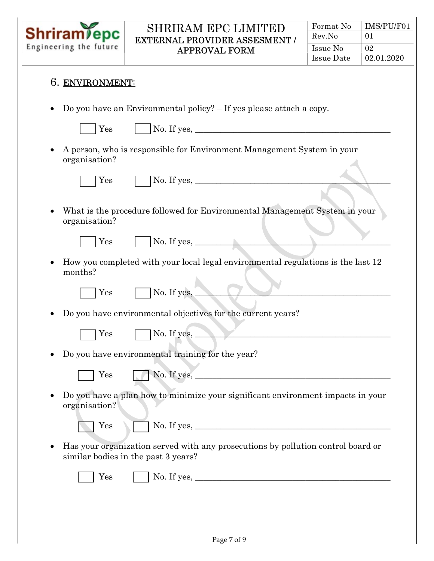

Ξ

#### SHRIRAM EPC LIMITED EXTERNAL PROVIDER ASSESMENT / APPROVAL FORM

| Format No  | IMS/PU/F01 |
|------------|------------|
| Rev.No     | 01         |
| Issue No   | 02         |
| Issue Date | 02.01.2020 |

| 6. ENVIRONMENT: |  |
|-----------------|--|
|-----------------|--|

Do you have an Environmental policy? – If yes please attach a copy.

 $Yes$  No. If yes,

 A person, who is responsible for Environment Management System in your organisation?

 $Yes \qquad \Box$  No. If yes,

 What is the procedure followed for Environmental Management System in your organisation?

Yes No. If yes, \_\_\_\_\_\_\_\_\_\_\_\_\_\_\_\_\_\_\_\_\_\_\_\_\_\_\_\_\_\_\_\_\_\_\_\_\_\_\_\_\_\_\_\_\_\_

 How you completed with your local legal environmental regulations is the last 12 months?

 $Yes \qquad \qquad \Box$  No. If yes,

Do you have environmental objectives for the current years?



 $\text{Yes} \qquad \blacksquare \text{No. If yes,} \qquad \blacksquare$ 

- Do you have environmental training for the year?
	- $Yes \qquad \qquad \bullet$  No. If yes,
- Do you have a plan how to minimize your significant environment impacts in your organisation?

Yes No. If yes, \_\_\_\_\_\_\_\_\_\_\_\_\_\_\_\_\_\_\_\_\_\_\_\_\_\_\_\_\_\_\_\_\_\_\_\_\_\_\_\_\_\_\_\_\_\_

 Has your organization served with any prosecutions by pollution control board or similar bodies in the past 3 years?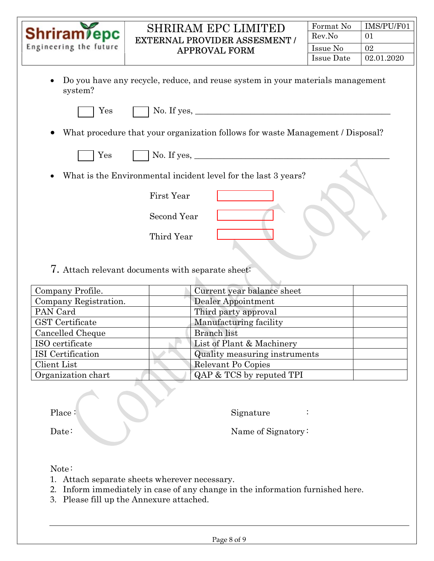| <b>Shriram</b> epc<br>Engineering the future                                              | <b>SHRIRAM EPC LIMITED</b><br><b>EXTERNAL PROVIDER ASSESMENT /</b><br><b>APPROVAL FORM</b> | Format No<br>Rev.No<br>Issue No<br><b>Issue Date</b> | IMS/PU/F01<br>01<br>02<br>02.01.2020 |
|-------------------------------------------------------------------------------------------|--------------------------------------------------------------------------------------------|------------------------------------------------------|--------------------------------------|
| Do you have any recycle, reduce, and reuse system in your materials management<br>system? |                                                                                            |                                                      |                                      |
| $\operatorname{Yes}$                                                                      | No. If yes, $\_\_$                                                                         |                                                      |                                      |
| What procedure that your organization follows for waste Management / Disposal?            |                                                                                            |                                                      |                                      |
| Yes                                                                                       | No. If yes, $\_\_$                                                                         |                                                      |                                      |
| What is the Environmental incident level for the last 3 years?<br>$\bullet$               |                                                                                            |                                                      |                                      |
|                                                                                           | <b>First Year</b>                                                                          |                                                      |                                      |
|                                                                                           | Second Year                                                                                |                                                      |                                      |
|                                                                                           | Third Year                                                                                 |                                                      |                                      |

#### 7. Attach relevant documents with separate sheet: ħ.

| Company Profile.       | Current year balance sheet    |
|------------------------|-------------------------------|
| Company Registration.  | Dealer Appointment            |
| PAN Card               | Third party approval          |
| <b>GST</b> Certificate | Manufacturing facility        |
| Cancelled Cheque       | <b>Branch</b> list            |
| ISO certificate        | List of Plant & Machinery     |
| ISI Certification      | Quality measuring instruments |
| Client List            | Relevant Po Copies            |
| Organization chart     | QAP & TCS by reputed TPI      |

Place : Signature : Signature :

Date: Name of Signatory:

# Note :

- 1. Attach separate sheets wherever necessary.
- 2. Inform immediately in case of any change in the information furnished here.
- 3. Please fill up the Annexure attached.